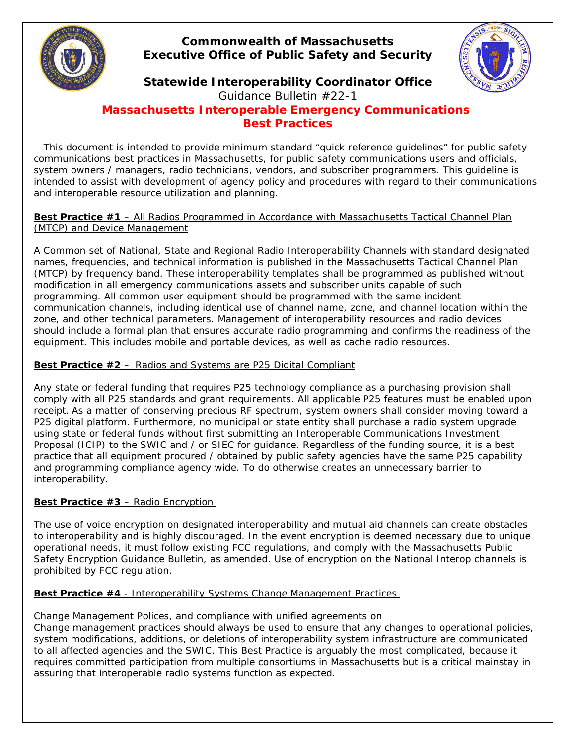

# **Commonwealth of Massachusetts Executive Office of Public Safety and Security**



# **Statewide Interoperability Coordinator Office**

*Guidance Bulletin #22-1 Massachusetts Interoperable Emergency Communications Best Practices*

 This document is intended to provide minimum standard "quick reference guidelines" for public safety communications best practices in Massachusetts, for public safety communications users and officials, system owners / managers, radio technicians, vendors, and subscriber programmers. This guideline is intended to assist with development of agency policy and procedures with regard to their communications and interoperable resource utilization and planning.

## **Best Practice #1** – All Radios Programmed in Accordance with Massachusetts Tactical Channel Plan (MTCP) and Device Management

A Common set of National, State and Regional Radio Interoperability Channels with standard designated names, frequencies, and technical information is published in the Massachusetts Tactical Channel Plan (MTCP) by frequency band. These interoperability templates shall be programmed as published without modification in all emergency communications assets and subscriber units capable of such programming. All common user equipment should be programmed with the same incident communication channels, including identical use of channel name, zone, and channel location within the zone, and other technical parameters. Management of interoperability resources and radio devices should include a formal plan that ensures accurate radio programming and confirms the readiness of the equipment. This includes mobile and portable devices, as well as cache radio resources.

## **Best Practice #2** – Radios and Systems are P25 Digital Compliant

Any state or federal funding that requires P25 technology compliance as a purchasing provision shall comply with all P25 standards and grant requirements. All applicable P25 features must be enabled upon receipt. As a matter of conserving precious RF spectrum, system owners shall consider moving toward a P25 digital platform. Furthermore, no municipal or state entity shall purchase a radio system upgrade using state or federal funds without first submitting an Interoperable Communications Investment Proposal (ICIP) to the SWIC and / or SIEC for guidance. Regardless of the funding source, it is a best practice that all equipment procured / obtained by public safety agencies have the same P25 capability and programming compliance agency wide. To do otherwise creates an unnecessary barrier to interoperability.

# **Best Practice #3** – Radio Encryption

The use of voice encryption on designated interoperability and mutual aid channels can create obstacles to interoperability and is highly discouraged. In the event encryption is deemed necessary due to unique operational needs, it must follow existing FCC regulations, and comply with the Massachusetts Public Safety Encryption Guidance Bulletin, as amended. Use of encryption on the National Interop channels is prohibited by FCC regulation.

## **Best Practice #4** - Interoperability Systems Change Management Practices

# Change Management Polices, and compliance with unified agreements on

Change management practices should always be used to ensure that any changes to operational policies, system modifications, additions, or deletions of interoperability system infrastructure are communicated to all affected agencies and the SWIC. This Best Practice is arguably the most complicated, because it requires committed participation from multiple consortiums in Massachusetts but is a critical mainstay in assuring that interoperable radio systems function as expected.